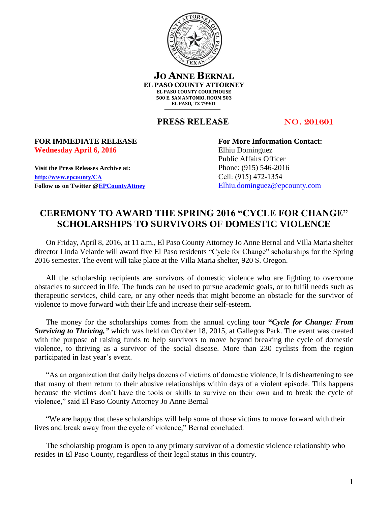

**JO ANNE BERNAL EL PASO COUNTY ATTORNEY EL PASO COUNTY COURTHOUSE 500 E. SAN ANTONIO, ROOM 503 EL PASO, TX 79901**

**PRESS RELEASE** NO. 201601

## Wednesday April 6, 2016 **Elhiu Dominguez**

**Visit the Press Releases Archive at:** Phone: (915) 546-2016 **[http://www.epcounty/CA](http://www.epcounty/CA/releases.htm)** Cell: (915) 472-1354 Follow us on Twitter  $@EPC$ ountyAttney [Elhiu.dominguez@epcounty.com](mailto:Elhiu.dominguez@epcounty.com)

**FOR IMMEDIATE RELEASE For More Information Contact:** Public Affairs Officer

## **CEREMONY TO AWARD THE SPRING 2016 "CYCLE FOR CHANGE" SCHOLARSHIPS TO SURVIVORS OF DOMESTIC VIOLENCE**

On Friday, April 8, 2016, at 11 a.m., El Paso County Attorney Jo Anne Bernal and Villa Maria shelter director Linda Velarde will award five El Paso residents "Cycle for Change" scholarships for the Spring 2016 semester. The event will take place at the Villa Maria shelter, 920 S. Oregon.

All the scholarship recipients are survivors of domestic violence who are fighting to overcome obstacles to succeed in life. The funds can be used to pursue academic goals, or to fulfil needs such as therapeutic services, child care, or any other needs that might become an obstacle for the survivor of violence to move forward with their life and increase their self-esteem.

The money for the scholarships comes from the annual cycling tour **"***Cycle for Change: From Surviving to Thriving,"* which was held on October 18, 2015, at Gallegos Park. The event was created with the purpose of raising funds to help survivors to move beyond breaking the cycle of domestic violence, to thriving as a survivor of the social disease. More than 230 cyclists from the region participated in last year's event.

"As an organization that daily helps dozens of victims of domestic violence, it is disheartening to see that many of them return to their abusive relationships within days of a violent episode. This happens because the victims don't have the tools or skills to survive on their own and to break the cycle of violence," said El Paso County Attorney Jo Anne Bernal

"We are happy that these scholarships will help some of those victims to move forward with their lives and break away from the cycle of violence," Bernal concluded.

The scholarship program is open to any primary survivor of a domestic violence relationship who resides in El Paso County, regardless of their legal status in this country.